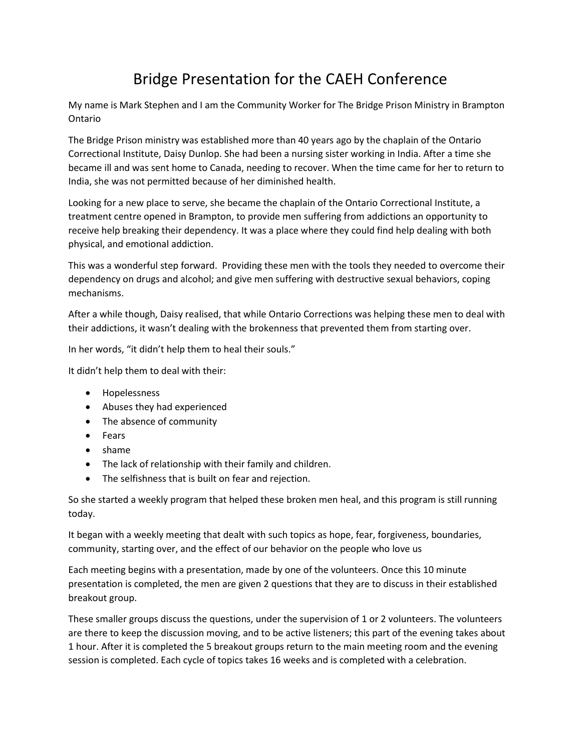## Bridge Presentation for the CAEH Conference

My name is Mark Stephen and I am the Community Worker for The Bridge Prison Ministry in Brampton Ontario

The Bridge Prison ministry was established more than 40 years ago by the chaplain of the Ontario Correctional Institute, Daisy Dunlop. She had been a nursing sister working in India. After a time she became ill and was sent home to Canada, needing to recover. When the time came for her to return to India, she was not permitted because of her diminished health.

Looking for a new place to serve, she became the chaplain of the Ontario Correctional Institute, a treatment centre opened in Brampton, to provide men suffering from addictions an opportunity to receive help breaking their dependency. It was a place where they could find help dealing with both physical, and emotional addiction.

This was a wonderful step forward. Providing these men with the tools they needed to overcome their dependency on drugs and alcohol; and give men suffering with destructive sexual behaviors, coping mechanisms.

After a while though, Daisy realised, that while Ontario Corrections was helping these men to deal with their addictions, it wasn't dealing with the brokenness that prevented them from starting over.

In her words, "it didn't help them to heal their souls."

It didn't help them to deal with their:

- Hopelessness
- Abuses they had experienced
- The absence of community
- Fears
- shame
- The lack of relationship with their family and children.
- The selfishness that is built on fear and rejection.

So she started a weekly program that helped these broken men heal, and this program is still running today.

It began with a weekly meeting that dealt with such topics as hope, fear, forgiveness, boundaries, community, starting over, and the effect of our behavior on the people who love us

Each meeting begins with a presentation, made by one of the volunteers. Once this 10 minute presentation is completed, the men are given 2 questions that they are to discuss in their established breakout group.

These smaller groups discuss the questions, under the supervision of 1 or 2 volunteers. The volunteers are there to keep the discussion moving, and to be active listeners; this part of the evening takes about 1 hour. After it is completed the 5 breakout groups return to the main meeting room and the evening session is completed. Each cycle of topics takes 16 weeks and is completed with a celebration.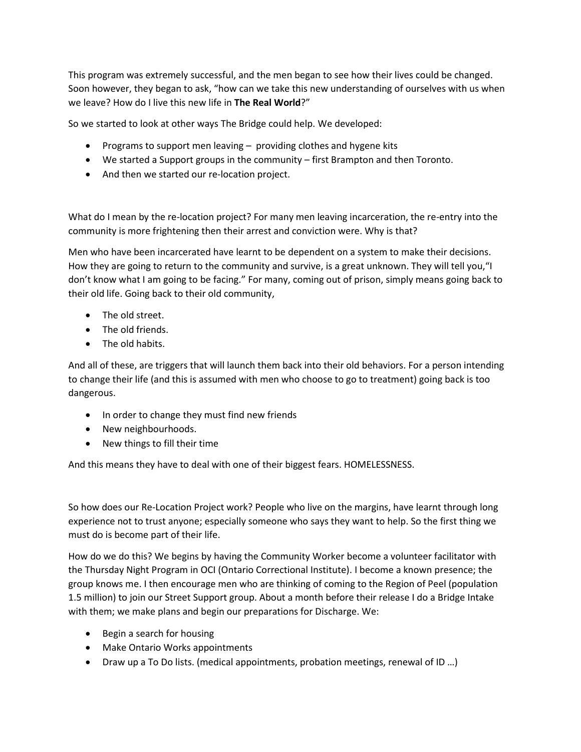This program was extremely successful, and the men began to see how their lives could be changed. Soon however, they began to ask, "how can we take this new understanding of ourselves with us when we leave? How do I live this new life in **The Real World**?"

So we started to look at other ways The Bridge could help. We developed:

- Programs to support men leaving providing clothes and hygene kits
- We started a Support groups in the community first Brampton and then Toronto.
- And then we started our re-location project.

What do I mean by the re-location project? For many men leaving incarceration, the re-entry into the community is more frightening then their arrest and conviction were. Why is that?

Men who have been incarcerated have learnt to be dependent on a system to make their decisions. How they are going to return to the community and survive, is a great unknown. They will tell you,"I don't know what I am going to be facing." For many, coming out of prison, simply means going back to their old life. Going back to their old community,

- The old street.
- The old friends.
- The old habits.

And all of these, are triggers that will launch them back into their old behaviors. For a person intending to change their life (and this is assumed with men who choose to go to treatment) going back is too dangerous.

- In order to change they must find new friends
- New neighbourhoods.
- New things to fill their time

And this means they have to deal with one of their biggest fears. HOMELESSNESS.

So how does our Re-Location Project work? People who live on the margins, have learnt through long experience not to trust anyone; especially someone who says they want to help. So the first thing we must do is become part of their life.

How do we do this? We begins by having the Community Worker become a volunteer facilitator with the Thursday Night Program in OCI (Ontario Correctional Institute). I become a known presence; the group knows me. I then encourage men who are thinking of coming to the Region of Peel (population 1.5 million) to join our Street Support group. About a month before their release I do a Bridge Intake with them; we make plans and begin our preparations for Discharge. We:

- Begin a search for housing
- Make Ontario Works appointments
- Draw up a To Do lists. (medical appointments, probation meetings, renewal of ID ...)